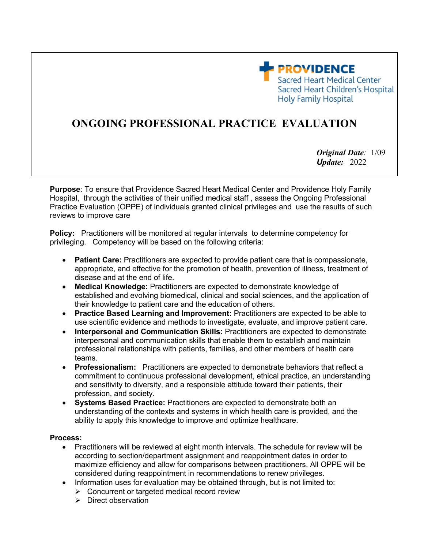

## **ONGOING PROFESSIONAL PRACTICE EVALUATION**

 *Original Date:* 1/09 *Update:* 2022

**Purpose**: To ensure that Providence Sacred Heart Medical Center and Providence Holy Family Hospital, through the activities of their unified medical staff , assess the Ongoing Professional Practice Evaluation (OPPE) of individuals granted clinical privileges and use the results of such reviews to improve care

**Policy:** Practitioners will be monitored at regular intervals to determine competency for privileging. Competency will be based on the following criteria:

- **Patient Care:** Practitioners are expected to provide patient care that is compassionate, appropriate, and effective for the promotion of health, prevention of illness, treatment of disease and at the end of life.
- **Medical Knowledge:** Practitioners are expected to demonstrate knowledge of established and evolving biomedical, clinical and social sciences, and the application of their knowledge to patient care and the education of others.
- **Practice Based Learning and Improvement:** Practitioners are expected to be able to use scientific evidence and methods to investigate, evaluate, and improve patient care.
- **Interpersonal and Communication Skills:** Practitioners are expected to demonstrate interpersonal and communication skills that enable them to establish and maintain professional relationships with patients, families, and other members of health care teams.
- **Professionalism:** Practitioners are expected to demonstrate behaviors that reflect a commitment to continuous professional development, ethical practice, an understanding and sensitivity to diversity, and a responsible attitude toward their patients, their profession, and society.
- **Systems Based Practice:** Practitioners are expected to demonstrate both an understanding of the contexts and systems in which health care is provided, and the ability to apply this knowledge to improve and optimize healthcare.

## **Process:**

- Practitioners will be reviewed at eight month intervals. The schedule for review will be according to section/department assignment and reappointment dates in order to maximize efficiency and allow for comparisons between practitioners. All OPPE will be considered during reappointment in recommendations to renew privileges.
- Information uses for evaluation may be obtained through, but is not limited to:
	- $\triangleright$  Concurrent or targeted medical record review
	- $\triangleright$  Direct observation